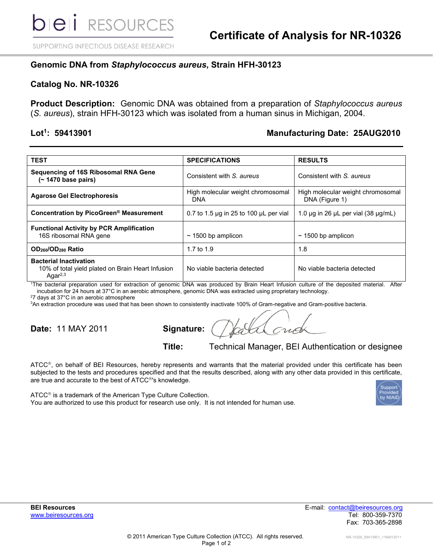SUPPORTING INFECTIOUS DISEASE RESEARCH

## **Genomic DNA from** *Staphylococcus aureus***, Strain HFH-30123**

#### **Catalog No. NR-10326**

**Product Description:** Genomic DNA was obtained from a preparation of *Staphylococcus aureus* (*S. aureus*), strain HFH-30123 which was isolated from a human sinus in Michigan, 2004.

#### Lot<sup>1</sup>: 59413901

### **: 59413901 Manufacturing Date: 25AUG2010**

| <b>TEST</b>                                                                                         | <b>SPECIFICATIONS</b>                            | <b>RESULTS</b>                                      |
|-----------------------------------------------------------------------------------------------------|--------------------------------------------------|-----------------------------------------------------|
| Sequencing of 16S Ribosomal RNA Gene<br>$(- 1470 \text{ base pairs})$                               | Consistent with S. aureus                        | Consistent with S. aureus                           |
| <b>Agarose Gel Electrophoresis</b>                                                                  | High molecular weight chromosomal<br>DNA         | High molecular weight chromosomal<br>DNA (Figure 1) |
| Concentration by PicoGreen® Measurement                                                             | 0.7 to 1.5 $\mu$ g in 25 to 100 $\mu$ L per vial | 1.0 $\mu$ g in 26 $\mu$ L per vial (38 $\mu$ g/mL)  |
| <b>Functional Activity by PCR Amplification</b><br>16S ribosomal RNA gene                           | $\sim$ 1500 bp amplicon                          | $\sim$ 1500 bp amplicon                             |
| OD <sub>260</sub> /OD <sub>280</sub> Ratio                                                          | 1.7 to 1.9                                       | 1.8                                                 |
| <b>Bacterial Inactivation</b><br>10% of total yield plated on Brain Heart Infusion<br>Aga $r^{2,3}$ | No viable bacteria detected                      | No viable bacteria detected                         |

<sup>1</sup>The bacterial preparation used for extraction of genomic DNA was produced by Brain Heart Infusion culture of the deposited material. After incubation for 24 hours at 37°C in an aerobic atmosphere, genomic DNA was extracted using proprietary technology.

<sup>2</sup>7 days at 37°C in an aerobic atmosphere

<sup>3</sup>An extraction procedure was used that has been shown to consistently inactivate 100% of Gram-negative and Gram-positive bacteria.

**Date: 11 MAY 2011** 

| Signature: |
|------------|
|------------|

# **Title:** Technical Manager, BEI Authentication or designee

ATCC®, on behalf of BEI Resources, hereby represents and warrants that the material provided under this certificate has been subjected to the tests and procedures specified and that the results described, along with any other data provided in this certificate, are true and accurate to the best of ATCC<sup>®</sup>'s knowledge.

 $ATCC<sup>®</sup>$  is a trademark of the American Type Culture Collection. You are authorized to use this product for research use only. It is not intended for human use.